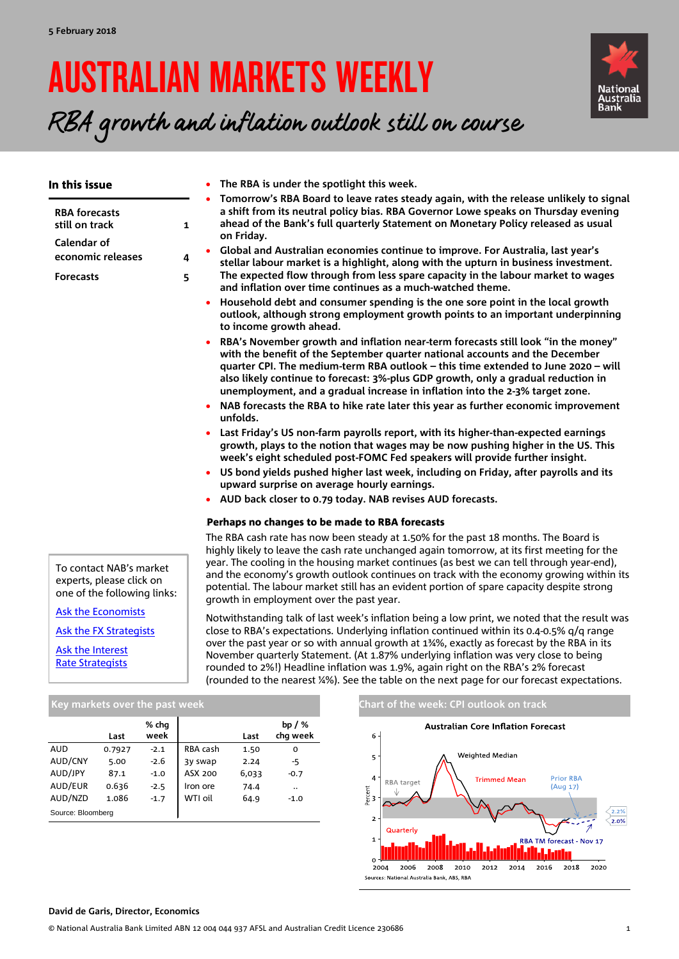# AUSTRALIAN MARKETS WEEKLY



RBA growth and inflation outlook still on course

| In this issue                                                                                  | • The RBA is under the spotlight this week.                                                                                                                                                                                                                                                                                                                                                                                                                                                                                                                                                                                                                                                                                                                                                                                                                                                                                                                                                                                                                                                                                                                                                                                                                                                                                                                                                                                                                                                                                                                                                                                                                                                                                                                                                                                                      |
|------------------------------------------------------------------------------------------------|--------------------------------------------------------------------------------------------------------------------------------------------------------------------------------------------------------------------------------------------------------------------------------------------------------------------------------------------------------------------------------------------------------------------------------------------------------------------------------------------------------------------------------------------------------------------------------------------------------------------------------------------------------------------------------------------------------------------------------------------------------------------------------------------------------------------------------------------------------------------------------------------------------------------------------------------------------------------------------------------------------------------------------------------------------------------------------------------------------------------------------------------------------------------------------------------------------------------------------------------------------------------------------------------------------------------------------------------------------------------------------------------------------------------------------------------------------------------------------------------------------------------------------------------------------------------------------------------------------------------------------------------------------------------------------------------------------------------------------------------------------------------------------------------------------------------------------------------------|
| <b>RBA</b> forecasts<br>still on track<br>Calendar of<br>economic releases<br><b>Forecasts</b> | Tomorrow's RBA Board to leave rates steady again, with the release unlikely to signal<br>a shift from its neutral policy bias. RBA Governor Lowe speaks on Thursday evening<br>ahead of the Bank's full quarterly Statement on Monetary Policy released as usual<br>$\mathbf{1}$<br>on Friday.<br>Global and Australian economies continue to improve. For Australia, last year's<br>$\bullet$<br>4<br>stellar labour market is a highlight, along with the upturn in business investment.<br>The expected flow through from less spare capacity in the labour market to wages<br>5<br>and inflation over time continues as a much-watched theme.<br>Household debt and consumer spending is the one sore point in the local growth<br>outlook, although strong employment growth points to an important underpinning<br>to income growth ahead.<br>RBA's November growth and inflation near-term forecasts still look "in the money"<br>with the benefit of the September quarter national accounts and the December<br>quarter CPI. The medium-term RBA outlook – this time extended to June 2020 – will<br>also likely continue to forecast: 3%-plus GDP growth, only a gradual reduction in<br>unemployment, and a gradual increase in inflation into the 2-3% target zone.<br>NAB forecasts the RBA to hike rate later this year as further economic improvement<br>unfolds.<br>Last Friday's US non-farm payrolls report, with its higher-than-expected earnings<br>growth, plays to the notion that wages may be now pushing higher in the US. This<br>week's eight scheduled post-FOMC Fed speakers will provide further insight.<br>• US bond yields pushed higher last week, including on Friday, after payrolls and its<br>upward surprise on average hourly earnings.<br>• AUD back closer to 0.79 today. NAB revises AUD forecasts. |
|                                                                                                | Perhaps no changes to be made to RBA forecasts                                                                                                                                                                                                                                                                                                                                                                                                                                                                                                                                                                                                                                                                                                                                                                                                                                                                                                                                                                                                                                                                                                                                                                                                                                                                                                                                                                                                                                                                                                                                                                                                                                                                                                                                                                                                   |
|                                                                                                | The RBA cash rate has now been steady at 1.50% for the past 18 months. The Board is<br>highly likely to leave the cash rate unchanged again tomorrow, at its first meeting for the<br>year. The cooling in the housing market continues (as best we can tell through year-end),                                                                                                                                                                                                                                                                                                                                                                                                                                                                                                                                                                                                                                                                                                                                                                                                                                                                                                                                                                                                                                                                                                                                                                                                                                                                                                                                                                                                                                                                                                                                                                  |
| To contact NAB's market<br>experts, please click on<br>one of the following links:             | and the economy's growth outlook continues on track with the economy growing within its<br>potential. The labour market still has an evident portion of spare capacity despite strong<br>growth in employment over the past year.                                                                                                                                                                                                                                                                                                                                                                                                                                                                                                                                                                                                                                                                                                                                                                                                                                                                                                                                                                                                                                                                                                                                                                                                                                                                                                                                                                                                                                                                                                                                                                                                                |
| <b>Ask the Economists</b>                                                                      | Notwithstanding talk of last week's inflation being a low print, we noted that the result was                                                                                                                                                                                                                                                                                                                                                                                                                                                                                                                                                                                                                                                                                                                                                                                                                                                                                                                                                                                                                                                                                                                                                                                                                                                                                                                                                                                                                                                                                                                                                                                                                                                                                                                                                    |
| Ask the FX Strategists                                                                         | close to RBA's expectations. Underlying inflation continued within its 0.4-0.5% q/q range                                                                                                                                                                                                                                                                                                                                                                                                                                                                                                                                                                                                                                                                                                                                                                                                                                                                                                                                                                                                                                                                                                                                                                                                                                                                                                                                                                                                                                                                                                                                                                                                                                                                                                                                                        |

[Ask the Interest](mailto:Skye.Masters@nab.com.au;Alex.Stanley@nab.com.au?subject=Interest%20Rate%20enquiry%20from%20AMW)  [Rate Strategists](mailto:Skye.Masters@nab.com.au;Alex.Stanley@nab.com.au?subject=Interest%20Rate%20enquiry%20from%20AMW) close to RBA's expectations. Underlying inflation continued within its 0.4-0.5% q/q range over the past year or so with annual growth at 1¾%, exactly as forecast by the RBA in its November quarterly Statement. (At 1.87% underlying inflation was very close to being rounded to 2%!) Headline inflation was 1.9%, again right on the RBA's 2% forecast (rounded to the nearest ¼%). See the table on the next page for our forecast expectations.

|                   | Last   | % chq<br>week |          | Last  | bp / $%$<br>chq week |
|-------------------|--------|---------------|----------|-------|----------------------|
| AUD               | 0.7927 | $-2.1$        | RBA cash | 1.50  | 0                    |
| AUD/CNY           | 5.00   | $-2.6$        | 3y swap  | 2.24  | -5                   |
| AUD/JPY           | 87.1   | $-1.0$        | ASX 200  | 6,033 | $-0.7$               |
| AUD/EUR           | 0.636  | $-2.5$        | Iron ore | 74.4  |                      |
| AUD/NZD           | 1.086  | $-1.7$        | WTI oil  | 64.9  | $-1.0$               |
| Source: Bloomberg |        |               |          |       |                      |

### **Key markets over the past week CHART CHART OF THE CHART OF THE WEEK: CPI outlook on track**



**David de Garis, Director, Economics**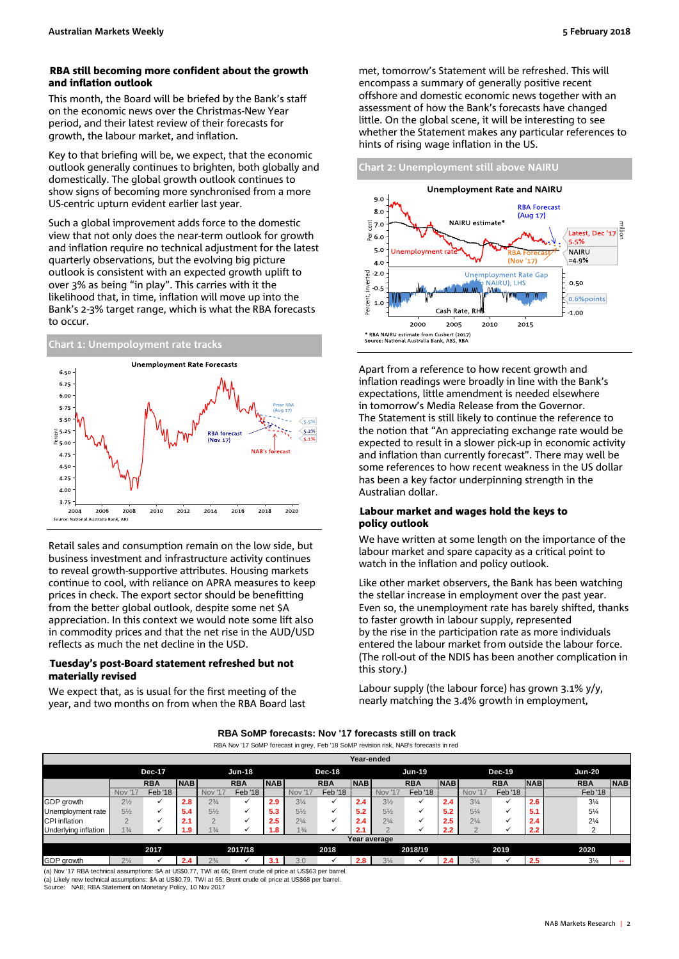### RBA still becoming more confident about the growth and inflation outlook

This month, the Board will be briefed by the Bank's staff on the economic news over the Christmas-New Year period, and their latest review of their forecasts for growth, the labour market, and inflation.

Key to that briefing will be, we expect, that the economic outlook generally continues to brighten, both globally and domestically. The global growth outlook continues to show signs of becoming more synchronised from a more US-centric upturn evident earlier last year.

Such a global improvement adds force to the domestic view that not only does the near-term outlook for growth and inflation require no technical adjustment for the latest quarterly observations, but the evolving big picture outlook is consistent with an expected growth uplift to over 3% as being "in play". This carries with it the likelihood that, in time, inflation will move up into the Bank's 2-3% target range, which is what the RBA forecasts to occur.



Retail sales and consumption remain on the low side, but business investment and infrastructure activity continues to reveal growth-supportive attributes. Housing markets continue to cool, with reliance on APRA measures to keep prices in check. The export sector should be benefitting from the better global outlook, despite some net \$A appreciation. In this context we would note some lift also in commodity prices and that the net rise in the AUD/USD reflects as much the net decline in the USD.

### Tuesday's post-Board statement refreshed but not materially revised

We expect that, as is usual for the first meeting of the year, and two months on from when the RBA Board last met, tomorrow's Statement will be refreshed. This will encompass a summary of generally positive recent offshore and domestic economic news together with an assessment of how the Bank's forecasts have changed little. On the global scene, it will be interesting to see whether the Statement makes any particular references to hints of rising wage inflation in the US.



Apart from a reference to how recent growth and inflation readings were broadly in line with the Bank's expectations, little amendment is needed elsewhere in tomorrow's Media Release from the Governor. The Statement is still likely to continue the reference to the notion that "An appreciating exchange rate would be expected to result in a slower pick-up in economic activity and inflation than currently forecast". There may well be some references to how recent weakness in the US dollar has been a key factor underpinning strength in the Australian dollar.

### Labour market and wages hold the keys to policy outlook

We have written at some length on the importance of the labour market and spare capacity as a critical point to watch in the inflation and policy outlook.

Like other market observers, the Bank has been watching the stellar increase in employment over the past year. Even so, the unemployment rate has barely shifted, thanks to faster growth in labour supply, represented by the rise in the participation rate as more individuals entered the labour market from outside the labour force. (The roll-out of the NDIS has been another complication in this story.)

Labour supply (the labour force) has grown 3.1% y/y, nearly matching the 3.4% growth in employment,

| RBA SoMP forecasts: Nov '17 forecasts still on track |  |
|------------------------------------------------------|--|
|------------------------------------------------------|--|

RBA Nov '17 SoMP forecast in grey, Feb '18 SoMP revision risk, NAB's forecasts in red

|                      |                |              |            |                |                                |            |                |                | Year-ended |                |                |               |                  |                    |            |                |            |
|----------------------|----------------|--------------|------------|----------------|--------------------------------|------------|----------------|----------------|------------|----------------|----------------|---------------|------------------|--------------------|------------|----------------|------------|
|                      | <b>Dec-17</b>  |              |            |                | <b>Jun-18</b><br><b>Dec-18</b> |            |                | <b>Jun-19</b>  |            |                | <b>Dec-19</b>  | <b>Jun-20</b> |                  |                    |            |                |            |
|                      |                | <b>RBA</b>   | <b>NAB</b> |                | <b>RBA</b>                     | <b>NAB</b> |                | <b>RBA</b>     | <b>NAB</b> |                | <b>RBA</b>     | <b>NAB</b>    |                  | <b>RBA</b>         | <b>NAB</b> | <b>RBA</b>     | <b>NAB</b> |
|                      | <b>Nov '17</b> | Feb '18      |            | '17<br>Nov     | <b>Feb</b> '18                 |            | <b>Nov</b>     | <b>Feb</b> '18 |            | <b>Nov '17</b> | <b>Feb</b> '18 |               | Nov <sup>1</sup> | Feb <sup>'18</sup> |            | Feb '18        |            |
| GDP growth           | $2\frac{1}{2}$ | $\checkmark$ | 2.8        | $2\frac{3}{4}$ |                                | 2.9        | $3\frac{1}{4}$ |                | 2.4        | $3\frac{1}{2}$ |                | 2.4           | $3\frac{1}{4}$   |                    | 2.6        | $3\frac{1}{4}$ |            |
| Unemployment rate    | $5\frac{1}{2}$ | $\checkmark$ | 5.4        | $5\frac{1}{2}$ |                                | 5.3        | $5\frac{1}{2}$ |                | 5.2        | $5\frac{1}{2}$ |                | 5.2           | $5\frac{1}{4}$   |                    | 5.1        | $5\frac{1}{4}$ |            |
| CPI inflation        | $\overline{2}$ |              | 2.1        | $\Omega$       |                                | 2.5        | $2\frac{1}{4}$ | ✔              | 2.4        | $2\frac{1}{4}$ |                | 2.5           | $2\frac{1}{4}$   |                    | 2.4        | $2\frac{1}{4}$ |            |
| Underlying inflation | $1\frac{3}{4}$ |              | 1.9        | $1\frac{3}{4}$ |                                | 8. ا       | $1\frac{3}{4}$ |                | 2.1        | $\Omega$       |                | 2.2           |                  |                    | 2.2        |                |            |
|                      |                |              |            |                |                                |            |                |                |            | Year average   |                |               |                  |                    |            |                |            |
|                      |                | 2017         |            |                | 2017/18                        |            |                | 2018           |            |                | 2018/19        |               |                  | 2019               |            | 2020           |            |

GDP growth 2¼ **2.4** 2¾ **3.1** 3.0 **2.8** 3¼ **2.4** 3¼ **2.5** 3¼ **--** (a) Likely new technical assumptions: \$A at US\$0.79, TWI at 65; Brent crude oil price at US\$68 per barrel. (a) Nov '17 RBA technical assumptions: \$A at US\$0.77, TWI at 65; Brent crude oil price at US\$63 per barrel.

Source: NAB; RBA Statement on Monetary Policy, 10 Nov 2017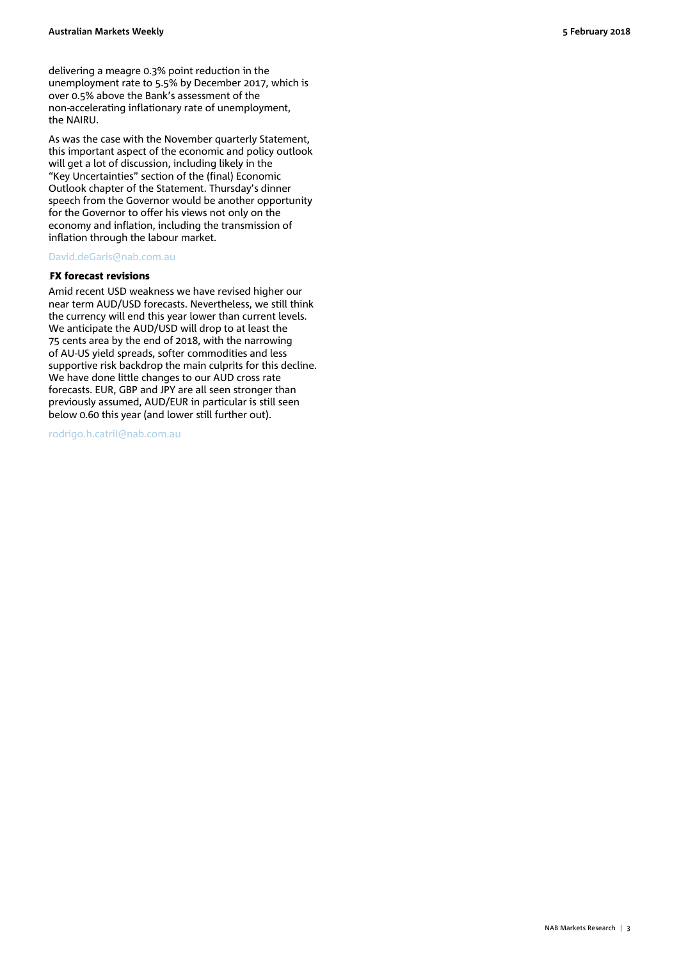As was the case with the November quarterly Statement, this important aspect of the economic and policy outlook will get a lot of discussion, including likely in the "Key Uncertainties" section of the (final) Economic Outlook chapter of the Statement. Thursday's dinner speech from the Governor would be another opportunity for the Governor to offer his views not only on the economy and inflation, including the transmission of inflation through the labour market.

### [David.deGaris@nab.com.au](mailto:David.deGaris@nab.com.au)

#### **FX forecast revisions**

Amid recent USD weakness we have revised higher our near term AUD/USD forecasts. Nevertheless, we still think the currency will end this year lower than current levels. We anticipate the AUD/USD will drop to at least the 75 cents area by the end of 2018, with the narrowing of AU-US yield spreads, softer commodities and less supportive risk backdrop the main culprits for this decline. We have done little changes to our AUD cross rate forecasts. EUR, GBP and JPY are all seen stronger than previously assumed, AUD/EUR in particular is still seen below 0.60 this year (and lower still further out).

[rodrigo.h.catril@nab.com.au](mailto:rodrigo.h.catril@nab.com.au)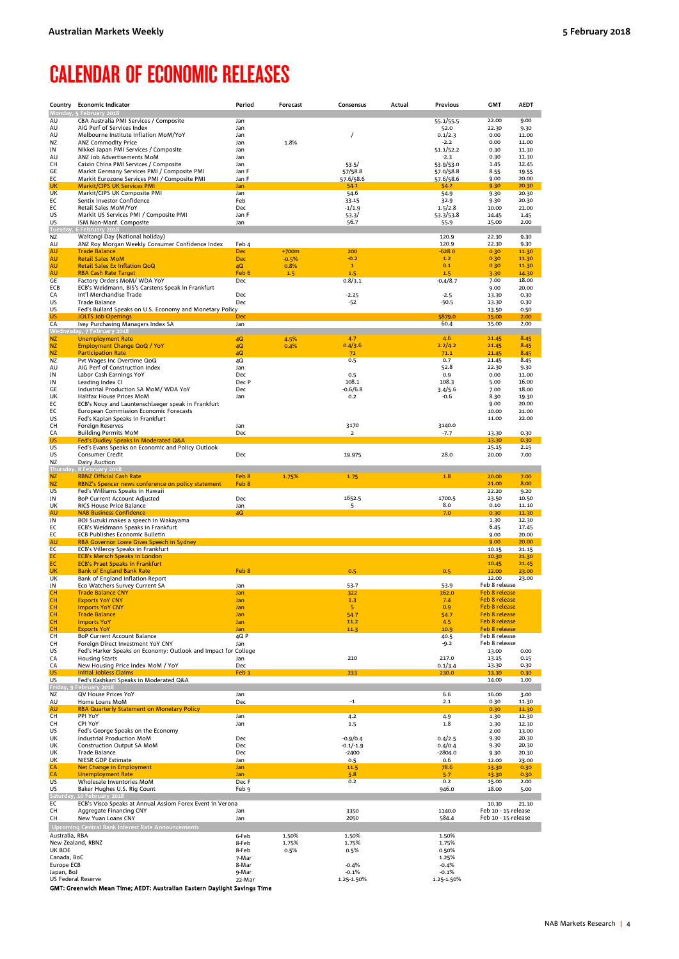### <span id="page-3-0"></span>**CALENDAR OF ECONOMIC RELEASES**

| AU<br>AU<br>AU<br>ΝZ<br>JN<br>AU<br>CН<br>GE<br>EС<br>UK<br>UK<br>ЕC<br>ЕC<br>US<br>US<br>Tue<br>ΝZ<br>AU<br>AU | Monday, 5 February 2018<br>CBA Australia PMI Services / Composite<br>AiG Perf of Services Index<br>Melbourne Institute Inflation MoM/YoY<br><b>ANZ Commodity Price</b><br>Nikkei Japan PMI Services / Composite<br>ANZ Job Advertisements MoM<br>Caixin China PMI Services / Composite<br>Markit Germany Services PMI / Composite PMI<br>Markit Eurozone Services PMI / Composite PMI<br><b>Markit/CIPS UK Services PMI</b><br>Markit/CIPS UK Composite PMI<br>Sentix Investor Confidence<br>Retail Sales MoM/YoY<br>Markit US Services PMI / Composite PMI | Jan<br>Jan<br>Jan<br>Jan<br>Jan<br>Jan<br>Jan<br>Jan F<br>Jan F<br>Jan<br>Jan<br>Feb | 1.8%    | $\prime$           | 55.1/55.5              | 22.00                                      | 9.00           |
|-----------------------------------------------------------------------------------------------------------------|-------------------------------------------------------------------------------------------------------------------------------------------------------------------------------------------------------------------------------------------------------------------------------------------------------------------------------------------------------------------------------------------------------------------------------------------------------------------------------------------------------------------------------------------------------------|--------------------------------------------------------------------------------------|---------|--------------------|------------------------|--------------------------------------------|----------------|
|                                                                                                                 |                                                                                                                                                                                                                                                                                                                                                                                                                                                                                                                                                             |                                                                                      |         |                    |                        |                                            |                |
|                                                                                                                 |                                                                                                                                                                                                                                                                                                                                                                                                                                                                                                                                                             |                                                                                      |         |                    |                        | 22.30                                      | 9.30           |
|                                                                                                                 |                                                                                                                                                                                                                                                                                                                                                                                                                                                                                                                                                             |                                                                                      |         |                    | 52.0<br>0.1/2.3        | 0.00                                       | 11.00          |
|                                                                                                                 |                                                                                                                                                                                                                                                                                                                                                                                                                                                                                                                                                             |                                                                                      |         |                    | $-2.2$                 | 0.00                                       | 11.00          |
|                                                                                                                 |                                                                                                                                                                                                                                                                                                                                                                                                                                                                                                                                                             |                                                                                      |         |                    | 51.1/52.2              | 0.30                                       | 11.30          |
|                                                                                                                 |                                                                                                                                                                                                                                                                                                                                                                                                                                                                                                                                                             |                                                                                      |         |                    | $-2.3$                 | 0.30                                       | 11.30          |
|                                                                                                                 |                                                                                                                                                                                                                                                                                                                                                                                                                                                                                                                                                             |                                                                                      |         | 53.5/<br>57/58.8   | 53.9/53.0<br>57.0/58.8 | 1.45<br>8.55                               | 12.45<br>19.55 |
|                                                                                                                 |                                                                                                                                                                                                                                                                                                                                                                                                                                                                                                                                                             |                                                                                      |         | 57.6/58.6          | 57.6/58.6              | 9.00                                       | 20.00          |
|                                                                                                                 |                                                                                                                                                                                                                                                                                                                                                                                                                                                                                                                                                             |                                                                                      |         | 54.1               | 54.2                   | 9.30                                       | 20.30          |
|                                                                                                                 |                                                                                                                                                                                                                                                                                                                                                                                                                                                                                                                                                             |                                                                                      |         | 54.6               | 54.9                   | 9.30                                       | 20.30          |
|                                                                                                                 |                                                                                                                                                                                                                                                                                                                                                                                                                                                                                                                                                             | Dec                                                                                  |         | 33.15<br>$-1/1.9$  | 32.9<br>1.5/2.8        | 9.30<br>10.00                              | 20.30<br>21.00 |
|                                                                                                                 |                                                                                                                                                                                                                                                                                                                                                                                                                                                                                                                                                             | Jan F                                                                                |         | 53.3/              | 53.3/53.8              | 14.45                                      | 1.45           |
|                                                                                                                 | ISM Non-Manf. Composite                                                                                                                                                                                                                                                                                                                                                                                                                                                                                                                                     | Jan                                                                                  |         | 56.7               | 55.9                   | 15.00                                      | 2.00           |
|                                                                                                                 | 6 February 2018                                                                                                                                                                                                                                                                                                                                                                                                                                                                                                                                             |                                                                                      |         |                    |                        |                                            |                |
|                                                                                                                 | Waitangi Day (National holiday)                                                                                                                                                                                                                                                                                                                                                                                                                                                                                                                             |                                                                                      |         |                    | 120.9                  | 22.30                                      | 9.30           |
|                                                                                                                 | ANZ Roy Morgan Weekly Consumer Confidence Index<br><b>Trade Balance</b>                                                                                                                                                                                                                                                                                                                                                                                                                                                                                     | Feb 4<br><b>Dec</b>                                                                  | $+700m$ | 200                | 120.9<br>$-628.0$      | 22.30<br>0.30                              | 9.30<br>11.30  |
| AU                                                                                                              | <b>Retail Sales MoM</b>                                                                                                                                                                                                                                                                                                                                                                                                                                                                                                                                     | <b>Dec</b>                                                                           | $-0.5%$ | $-0.2$             | 1.2                    | 0.30                                       | 11.30          |
| AU                                                                                                              | <b>Retail Sales Ex Inflation QoQ</b>                                                                                                                                                                                                                                                                                                                                                                                                                                                                                                                        | 4Q                                                                                   | 0.8%    | $\mathbf{1}$       | 0.1                    | 0.30                                       | 11.30          |
| AU                                                                                                              | <b>RBA Cash Rate Target</b>                                                                                                                                                                                                                                                                                                                                                                                                                                                                                                                                 | Feb 6                                                                                | 1.5     | 1.5                | 1.5                    | 3.30                                       | 14.30          |
| GЕ                                                                                                              | Factory Orders MoM/ WDA YoY                                                                                                                                                                                                                                                                                                                                                                                                                                                                                                                                 | Dec                                                                                  |         | 0.8/3.1            | $-0.4/8.7$             | 7.00                                       | 18.00          |
| ECB<br>CA                                                                                                       | ECB's Weidmann, BIS's Carstens Speak in Frankfurt<br>Int'l Merchandise Trade                                                                                                                                                                                                                                                                                                                                                                                                                                                                                | Dec                                                                                  |         | $-2.25$            | $-2.5$                 | 9.00<br>13.30                              | 20.00<br>0.30  |
| US                                                                                                              | <b>Trade Balance</b>                                                                                                                                                                                                                                                                                                                                                                                                                                                                                                                                        | Dec                                                                                  |         | $-52$              | $-50.5$                | 13.30                                      | 0.30           |
| US                                                                                                              | Fed's Bullard Speaks on U.S. Economy and Monetary Policy                                                                                                                                                                                                                                                                                                                                                                                                                                                                                                    |                                                                                      |         |                    |                        | 13.50                                      | 0.50           |
| US                                                                                                              | <b>JOLTS Job Openings</b>                                                                                                                                                                                                                                                                                                                                                                                                                                                                                                                                   | <b>Dec</b>                                                                           |         |                    | 5879.0                 | 15.00                                      | 2.00           |
| СA                                                                                                              | Ivey Purchasing Managers Index SA<br>Wednesday, 7 February 2018                                                                                                                                                                                                                                                                                                                                                                                                                                                                                             | Jan                                                                                  |         |                    | 60.4                   | 15.00                                      | 2.00           |
| ΝZ                                                                                                              | <b>Unemployment Rate</b>                                                                                                                                                                                                                                                                                                                                                                                                                                                                                                                                    | 4Q                                                                                   | 4.5%    | 4.7                | 4.6                    | 21.45                                      | 8.45           |
| ΝZ                                                                                                              | <b>Employment Change QoQ / YoY</b>                                                                                                                                                                                                                                                                                                                                                                                                                                                                                                                          | 4Q                                                                                   | 0.4%    | 0.4/3.6            | 2.2/4.2                | 21.45                                      | 8.45           |
| ΝZ                                                                                                              | <b>Participation Rate</b>                                                                                                                                                                                                                                                                                                                                                                                                                                                                                                                                   | 4Q                                                                                   |         | 71                 | 71.1                   | 21.45                                      | 8.45           |
| ΝZ                                                                                                              | Pvt Wages Inc Overtime QoQ                                                                                                                                                                                                                                                                                                                                                                                                                                                                                                                                  | 4Q                                                                                   |         | 0.5                | 0.7                    | 21.45                                      | 8.45           |
| AU<br>JN                                                                                                        | AiG Perf of Construction Index<br>Labor Cash Earnings YoY                                                                                                                                                                                                                                                                                                                                                                                                                                                                                                   | Jan<br>Dec                                                                           |         | 0.5                | 52.8<br>0.9            | 22.30<br>0.00                              | 9.30<br>11.00  |
| JN                                                                                                              | Leading Index CI                                                                                                                                                                                                                                                                                                                                                                                                                                                                                                                                            | Dec P                                                                                |         | 108.1              | 108.3                  | 5.00                                       | 16.00          |
| GE                                                                                                              | Industrial Production SA MoM/ WDA YoY                                                                                                                                                                                                                                                                                                                                                                                                                                                                                                                       | Dec                                                                                  |         | -0.6/6.8           | 3.4/5.6                | 7.00                                       | 18.00          |
| UK                                                                                                              | Halifax House Prices MoM                                                                                                                                                                                                                                                                                                                                                                                                                                                                                                                                    | Jan                                                                                  |         | 0.2                | -0.6                   | 8.30                                       | 19.30          |
| ЕC<br>ЕC                                                                                                        | ECB's Nouy and Launtenschlaeger speak in Frankfurt                                                                                                                                                                                                                                                                                                                                                                                                                                                                                                          |                                                                                      |         |                    |                        | 9.00                                       | 20.00          |
| US                                                                                                              | <b>European Commission Economic Forecasts</b><br>Fed's Kaplan Speaks in Frankfurt                                                                                                                                                                                                                                                                                                                                                                                                                                                                           |                                                                                      |         |                    |                        | 10.00<br>11.00                             | 21.00<br>22.00 |
| CН                                                                                                              | Foreign Reserves                                                                                                                                                                                                                                                                                                                                                                                                                                                                                                                                            | Jan                                                                                  |         | 3170               | 3140.0                 |                                            |                |
| CA                                                                                                              | <b>Building Permits MoM</b>                                                                                                                                                                                                                                                                                                                                                                                                                                                                                                                                 | Dec                                                                                  |         | $\overline{2}$     | -7.7                   | 13.30                                      | 0.30           |
| US                                                                                                              | Fed's Dudley Speaks in Moderated Q&A                                                                                                                                                                                                                                                                                                                                                                                                                                                                                                                        |                                                                                      |         |                    |                        | 13.30                                      | 0.30           |
| US<br>US                                                                                                        | Fed's Evans Speaks on Economic and Policy Outlook<br>Consumer Credit                                                                                                                                                                                                                                                                                                                                                                                                                                                                                        | Dec                                                                                  |         | 19.975             | 28.0                   | 15.15<br>20.00                             | 2.15<br>7.00   |
| ΝZ                                                                                                              | Dairy Auction                                                                                                                                                                                                                                                                                                                                                                                                                                                                                                                                               |                                                                                      |         |                    |                        |                                            |                |
| Thu                                                                                                             | 8 February 2018                                                                                                                                                                                                                                                                                                                                                                                                                                                                                                                                             |                                                                                      |         |                    |                        |                                            |                |
| ΝZ                                                                                                              | <b>RBNZ Official Cash Rate</b>                                                                                                                                                                                                                                                                                                                                                                                                                                                                                                                              | Feb 8                                                                                | 1.75%   | 1.75               | 1.8                    | 20.00                                      | 7.00           |
| ΝZ<br>US                                                                                                        | RBNZ's Spencer news conference on policy statement<br>Fed's Williams Speaks in Hawaii                                                                                                                                                                                                                                                                                                                                                                                                                                                                       | Feb 8                                                                                |         |                    |                        | 21.00<br>22.20                             | 8.00<br>9.20   |
| JN                                                                                                              | BoP Current Account Adjusted                                                                                                                                                                                                                                                                                                                                                                                                                                                                                                                                | Dec                                                                                  |         | 1652.5             | 1700.5                 | 23.50                                      | 10.50          |
| UK                                                                                                              | RICS House Price Balance                                                                                                                                                                                                                                                                                                                                                                                                                                                                                                                                    | Jan                                                                                  |         | 5                  | 8.0                    | 0.10                                       | 11.10          |
| AU                                                                                                              | <b>NAB Business Confidence</b>                                                                                                                                                                                                                                                                                                                                                                                                                                                                                                                              | 4Q                                                                                   |         |                    | 7.0                    | 0.30                                       | 11.30          |
| JN                                                                                                              | BOJ Suzuki makes a speech in Wakayama                                                                                                                                                                                                                                                                                                                                                                                                                                                                                                                       |                                                                                      |         |                    |                        | 1.30                                       | 12.30          |
| EС<br>ЕC                                                                                                        | ECB's Weidmann Speaks in Frankfurt<br><b>ECB Publishes Economic Bulletin</b>                                                                                                                                                                                                                                                                                                                                                                                                                                                                                |                                                                                      |         |                    |                        | 6.45<br>9.00                               | 17.45<br>20.00 |
| AU                                                                                                              | RBA Governor Lowe Gives Speech in Sydney                                                                                                                                                                                                                                                                                                                                                                                                                                                                                                                    |                                                                                      |         |                    |                        | 9.00                                       | 20.00          |
| ЕC                                                                                                              | ECB's Villeroy Speaks in Frankfurt                                                                                                                                                                                                                                                                                                                                                                                                                                                                                                                          |                                                                                      |         |                    |                        | 10.15                                      | 21.15          |
| EС                                                                                                              | <b>ECB's Mersch Speaks in London</b>                                                                                                                                                                                                                                                                                                                                                                                                                                                                                                                        |                                                                                      |         |                    |                        |                                            |                |
| EC                                                                                                              |                                                                                                                                                                                                                                                                                                                                                                                                                                                                                                                                                             |                                                                                      |         |                    |                        | 10.30                                      | 21.30          |
|                                                                                                                 | <b>ECB's Praet Speaks in Frankfurt</b>                                                                                                                                                                                                                                                                                                                                                                                                                                                                                                                      |                                                                                      |         |                    |                        | 10.45                                      | 21.45          |
| UK                                                                                                              | <b>Bank of England Bank Rate</b>                                                                                                                                                                                                                                                                                                                                                                                                                                                                                                                            | Feb 8                                                                                |         | 0.5                | 0.5                    | 12.00                                      | 23.00          |
| UK<br>JN                                                                                                        | Bank of England Inflation Report                                                                                                                                                                                                                                                                                                                                                                                                                                                                                                                            | Jan                                                                                  |         | 53.7               | 53.9                   | 12.00<br>Feb 8 release                     | 23.00          |
| cн                                                                                                              | Eco Watchers Survey Current SA<br><b>Trade Balance CNY</b>                                                                                                                                                                                                                                                                                                                                                                                                                                                                                                  | Jan                                                                                  |         | 322                | 362.0                  | Feb 8 release                              |                |
| cн                                                                                                              | <b>Exports YoY CNY</b>                                                                                                                                                                                                                                                                                                                                                                                                                                                                                                                                      | Jan                                                                                  |         | 1.3                | 7.4                    | Feb 8 release                              |                |
| cн                                                                                                              | <b>Imports YoY CNY</b>                                                                                                                                                                                                                                                                                                                                                                                                                                                                                                                                      | Jan                                                                                  |         | 5                  | 0.9                    | <b>Feb 8 release</b>                       |                |
| CН                                                                                                              | <u>Trade Balance</u>                                                                                                                                                                                                                                                                                                                                                                                                                                                                                                                                        | Jan                                                                                  |         | 54.7               | 54.7                   | Feb 8 release                              |                |
| CН<br>CН                                                                                                        | <b>Imports YoY</b><br><b>Exports YoY</b>                                                                                                                                                                                                                                                                                                                                                                                                                                                                                                                    | Jan<br>Jan                                                                           |         | 11.2<br>11.3       | 4.5<br>10.9            | Feb 8 release<br>Feb 8 release             |                |
| CН                                                                                                              | <b>BoP Current Account Balance</b>                                                                                                                                                                                                                                                                                                                                                                                                                                                                                                                          | 4Q P                                                                                 |         |                    | 40.5                   | Feb 8 release                              |                |
| CН                                                                                                              | Foreign Direct Investment YoY CNY                                                                                                                                                                                                                                                                                                                                                                                                                                                                                                                           | Jan                                                                                  |         |                    | $-9.2$                 | Feb 8 release                              |                |
| US                                                                                                              | Fed's Harker Speaks on Economy: Outlook and Impact for College<br><b>Housing Starts</b>                                                                                                                                                                                                                                                                                                                                                                                                                                                                     |                                                                                      |         | 210                | 217.0                  | 13.00<br>13.15                             | 0.00<br>0.15   |
| CA<br>СA                                                                                                        | New Housing Price Index MoM / YoY                                                                                                                                                                                                                                                                                                                                                                                                                                                                                                                           | Jan<br>Dec                                                                           |         |                    | 0.1/3.4                | 13.30                                      | 0.30           |
| US                                                                                                              | <b>Initial Jobless Claims</b>                                                                                                                                                                                                                                                                                                                                                                                                                                                                                                                               | Feb <sub>3</sub>                                                                     |         | 233                | 230.0                  | 13.30                                      | 0.30           |
| US                                                                                                              | Fed's Kashkari Speaks in Moderated Q&A                                                                                                                                                                                                                                                                                                                                                                                                                                                                                                                      |                                                                                      |         |                    |                        | 14.00                                      | 1.00           |
| Friday                                                                                                          | February 2018                                                                                                                                                                                                                                                                                                                                                                                                                                                                                                                                               |                                                                                      |         |                    |                        |                                            |                |
| ΝZ<br>AU                                                                                                        | QV House Prices YoY<br>Home Loans MoM                                                                                                                                                                                                                                                                                                                                                                                                                                                                                                                       | Jan<br>Dec                                                                           |         | $-1$               | 6.6<br>2.1             | 16.00<br>0.30                              | 3.00<br>11.30  |
| AU                                                                                                              | <b>RBA Quarterly Statement on Monetary Policy</b>                                                                                                                                                                                                                                                                                                                                                                                                                                                                                                           |                                                                                      |         |                    |                        | 0.30                                       | 11.30          |
| CН                                                                                                              | PPI YoY                                                                                                                                                                                                                                                                                                                                                                                                                                                                                                                                                     | Jan                                                                                  |         | 4.2                | 4.9                    | 1.30                                       | 12.30          |
| CН                                                                                                              | CPI YoY                                                                                                                                                                                                                                                                                                                                                                                                                                                                                                                                                     | Jan                                                                                  |         | 1.5                | 1.8                    | 1.30                                       | 12.30          |
| US<br>UK                                                                                                        | Fed's George Speaks on the Economy<br>Industrial Production MoM                                                                                                                                                                                                                                                                                                                                                                                                                                                                                             | Dec                                                                                  |         | $-0.9/0.4$         | 0.4/2.5                | 2.00<br>9.30                               | 13.00<br>20.30 |
| UK                                                                                                              | <b>Construction Output SA MoM</b>                                                                                                                                                                                                                                                                                                                                                                                                                                                                                                                           | Dec                                                                                  |         | $-0.1/-1.9$        | 0.4/0.4                | 9.30                                       | 20.30          |
| UK                                                                                                              | Trade Balance                                                                                                                                                                                                                                                                                                                                                                                                                                                                                                                                               | Dec                                                                                  |         | $-2400$            | $-2804.0$              | 9.30                                       | 20.30          |
| <u>UК</u>                                                                                                       | <b>NIESR GDP Estimate</b>                                                                                                                                                                                                                                                                                                                                                                                                                                                                                                                                   | Jan                                                                                  |         | 0.5                | 0.6                    | 12.00                                      | 23.00          |
| СA                                                                                                              | Net Change in Employment                                                                                                                                                                                                                                                                                                                                                                                                                                                                                                                                    | Jan                                                                                  |         | 11.5               | 78.6                   | 13.30                                      | 0.30           |
| СA<br>US                                                                                                        | <b>Unemployment Rate</b><br>Wholesale Inventories MoM                                                                                                                                                                                                                                                                                                                                                                                                                                                                                                       | Jan<br>Dec F                                                                         |         | 5.8<br>0.2         | 5.7<br>0.2             | 13.30<br>15.00                             | 0.30<br>2.00   |
| US                                                                                                              | Baker Hughes U.S. Rig Count                                                                                                                                                                                                                                                                                                                                                                                                                                                                                                                                 | Feb 9                                                                                |         |                    | 946.0                  | 18.00                                      | 5.00           |
| Saturda                                                                                                         | 10 February 2018                                                                                                                                                                                                                                                                                                                                                                                                                                                                                                                                            |                                                                                      |         |                    |                        |                                            |                |
| ЕC                                                                                                              | ECB's Visco Speaks at Annual Assiom Forex Event in Verona                                                                                                                                                                                                                                                                                                                                                                                                                                                                                                   |                                                                                      |         |                    |                        | 10.30                                      | 21.30          |
|                                                                                                                 | Aggregate Financing CNY<br>New Yuan Loans CNY                                                                                                                                                                                                                                                                                                                                                                                                                                                                                                               | Jan<br>Jan                                                                           |         | 3350<br>2050       | 1140.0<br>584.4        | Feb 10 - 15 release<br>Feb 10 - 15 release |                |
| CН<br>CН                                                                                                        | Upcoming Central Bank Interest Rate Announcements                                                                                                                                                                                                                                                                                                                                                                                                                                                                                                           |                                                                                      |         |                    |                        |                                            |                |
| Australia, RBA                                                                                                  |                                                                                                                                                                                                                                                                                                                                                                                                                                                                                                                                                             | 6-Feb                                                                                | 1.50%   | 1.50%              | 1.50%                  |                                            |                |
| New Zealand, RBNZ                                                                                               |                                                                                                                                                                                                                                                                                                                                                                                                                                                                                                                                                             | 8-Feb                                                                                | 1.75%   | 1.75%              | 1.75%                  |                                            |                |
| UK BOE                                                                                                          |                                                                                                                                                                                                                                                                                                                                                                                                                                                                                                                                                             | 8-Feb                                                                                | 0.5%    | 0.5%               | 0.50%                  |                                            |                |
| Canada, BoC                                                                                                     |                                                                                                                                                                                                                                                                                                                                                                                                                                                                                                                                                             | 7-Mar                                                                                |         |                    | 1.25%                  |                                            |                |
| Europe ECB<br>Japan, BoJ                                                                                        |                                                                                                                                                                                                                                                                                                                                                                                                                                                                                                                                                             | 8-Mar<br>9-Mar                                                                       |         | $-0.4%$<br>$-0.1%$ | $-0.4%$<br>$-0.1%$     |                                            |                |
| US Federal Reserve                                                                                              | GMT: Greenwich Mean Time; AEDT: Australian Eastern Daylight Savings Time                                                                                                                                                                                                                                                                                                                                                                                                                                                                                    | 22-Mar                                                                               |         | 1.25-1.50%         | 1.25-1.50%             |                                            |                |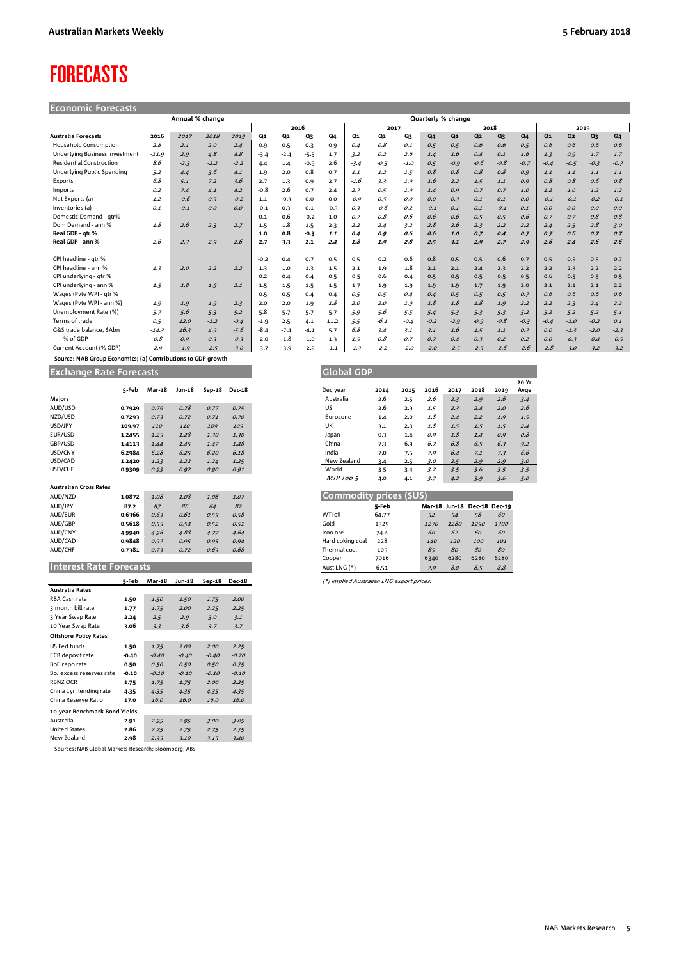## <span id="page-4-0"></span>**FORECASTS**

| <b>Economic Forecasts</b> |  |
|---------------------------|--|
|                           |  |
|                           |  |

|                                 |         | Annual % change |        |        |        |        |        |        |        |        |        |                | Quarterly % change |                |        |        |                |                |        |        |
|---------------------------------|---------|-----------------|--------|--------|--------|--------|--------|--------|--------|--------|--------|----------------|--------------------|----------------|--------|--------|----------------|----------------|--------|--------|
|                                 |         |                 |        |        |        |        | 2016   |        |        | 2017   |        |                |                    |                | 2018   |        |                |                | 2019   |        |
| <b>Australia Forecasts</b>      | 2016    | 2017            | 2018   | 2019   | Q1     | Q2     | Q3     | Q4     | Q1     | Q2     | Q3     | Q <sub>4</sub> | $Q_1$              | Q <sub>2</sub> | Q3     | Q4     | Q <sub>1</sub> | Q <sub>2</sub> | Q3     | Q4     |
| <b>Household Consumption</b>    | 2.8     | 2.1             | 2.0    | 2.4    | 0.9    | 0.5    | 0.3    | 0.9    | 0.4    | O.S    | 0.1    | 0.5            | 0.5                | 0.6            | 0.6    | 0.5    | 0.6            | 0.6            | 0.6    | 0.6    |
| Underlying Business Investment  | $-11.9$ | 2.9             | 4.8    | 4.8    | $-3.4$ | $-2.4$ | $-5.5$ | 1.7    | 3.2    | 0.2    | 2.6    | 1.4            | 1.6                | 0.4            | 0.1    | 1.6    | 1.3            | 0.9            | 1.7    | 1.7    |
| <b>Residential Construction</b> | 8.6     | $-2.3$          | $-2.2$ | $-2.2$ | 4.4    | 1.4    | $-0.9$ | 2.6    | $-3.4$ | $-0.5$ | $-1.0$ | 0.5            | $-0.9$             | $-0.6$         | $-0.8$ | $-0.7$ | $-0.4$         | $-0.5$         | $-0.3$ | $-0.7$ |
| Underlying Public Spending      | 5.2     | 4.4             | 3.6    | 4.1    | 1.9    | 2.0    | 0.8    | 0.7    | 1.1    | 1.2    | 1.5    | 0.8            | 0.8                | 0.8            | 0.8    | 0.9    | 1.1            | 1.1            | 1.1    | 1.1    |
| Exports                         | 6.8     | 5.1             | 7.2    | 3.6    | 2.7    | 1.3    | 0.9    | 2.7    | $-1.6$ | 3.3    | 1.9    | 1.6            | 2.2                | 1.5            | 1.1    | O.G    | 0.8            | 0.8            | 0.6    | 0.8    |
| Imports                         | 0.2     | 7.4             | 4.1    | 4.2    | $-0.8$ | 2.6    | 0.7    | 2.4    | 2.7    | 0.5    | 1.9    | 1.4            | O.G                | 0.7            | 0.7    | 1.0    | 1.2            | 1.0            | 1.2    | 1.2    |
| Net Exports (a)                 | 1.2     | $-0.6$          | 0.5    | $-0.2$ | 1.1    | $-0.3$ | 0.0    | 0.0    | $-0.9$ | 0.5    | O.O    | O.O            | 0.3                | 0.1            | 0.1    | O.O    | $-0.1$         | $-0.1$         | $-0.2$ | $-0.1$ |
| Inventories (a)                 | 0.1     | $-0.1$          | 0.0    | O.O    | $-0.1$ | 0.3    | 0.1    | $-0.3$ | 0.3    | $-0.6$ | 0.2    | $-0.1$         | 0.1                | 0.1            | $-0.1$ | 0.1    | 0.0            | 0.0            | 0.0    | 0.0    |
| Domestic Demand - atr%          |         |                 |        |        | 0.1    | 0.6    | $-0.2$ | 1.0    | 0.7    | O.S    | 0.6    | 0.6            | 0.6                | 0.5            | 0.5    | 0.6    | 0.7            | 0.7            | O.8    | 0.8    |
| Dom Demand - ann %              | 1.8     | 2.6             | 2.3    | 2.7    | 1.5    | 1.8    | 1.5    | 2.3    | 2.2    | 2.4    | 3.2    | 2.8            | 2.6                | 2.3            | 2.2    | 2.2    | 2.4            | 2.5            | 2.8    | 3.0    |
| Real GDP - atr %                |         |                 |        |        | 1.0    | 0.8    | $-0.3$ | 1.1    | 0.4    | 0.9    | 0.6    | 0.6            | 1.0                | 0.7            | 0.4    | 0.7    | 0.7            | 0.6            | 0.7    | 0.7    |
| Real GDP - ann %                | 2.6     | 2.3             | 2.9    | 2.6    | 2.7    | 3.3    | 2.1    | 2.4    | 1.8    | 1.9    | 2.8    | 2.5            | 3.1                | 2.9            | 2.7    | 2.9    | 2.6            | 2.4            | 2.6    | 2.6    |
| CPI headline - atr %            |         |                 |        |        | $-0.2$ | 0.4    | 0.7    | 0.5    | 0.5    | 0.2    | 0.6    | 0.8            | 0.5                | 0.5            | 0.6    | 0.7    | 0.5            | 0.5            | 0.5    | 0.7    |
| CPI headline - ann %            | 1.3     | 2.0             | 2.2    | 2.2    | 1.3    | $1.0$  | 1.3    | 1.5    | 2.1    | 1.9    | 1.8    | 2.1            | 2.1                | 2.4            | 2.3    | 2.2    | 2.2            | 2.3            | 2.2    | 2.2    |
| CPI underlying - gtr %          |         |                 |        |        | 0.2    | 0.4    | 0.4    | 0.5    | 0.5    | 0.6    | 0.4    | 0.5            | 0.5                | 0.5            | 0.5    | 0.5    | 0.6            | 0.5            | 0.5    | 0.5    |
| CPI underlying - ann %          | 1.5     | 1.8             | 1.9    | 2.1    | 1.5    | 1.5    | 1.5    | 1.5    | 1.7    | 1.9    | 1.9    | 1.9            | 1.9                | 1.7            | 1.9    | 2.0    | 2.1            | 2.1            | 2.1    | 2.2    |
| Wages (Pvte WPI - gtr %         |         |                 |        |        | 0.5    | 0.5    | 0.4    | 0.4    | 0.5    | 0.5    | 0.4    | 0.4            | 0.5                | 0.5            | 0.5    | 0.7    | 0.6            | 0.6            | 0.6    | 0.6    |
| Wages (Pvte WPI - ann %)        | 1.9     | 1.9             | 1.9    | 2.3    | 2.0    | 2.0    | 1.9    | 1.8    | 2.0    | 2.0    | 1.9    | 1.8            | 1.8                | 1.8            | 1.9    | 2.2    | 2.2            | 2.3            | 2.4    | 2.2    |
| Unemployment Rate (%)           | 5.7     | 5.6             | 5.3    | 5.2    | 5.8    | 5.7    | 5.7    | 5.7    | 5.9    | 5.6    | 5.5    | 5.4            | 5.3                | 5.3            | 5.3    | 5.2    | 5.2            | 5.2            | 5.2    | 5.1    |
| Terms of trade                  | 0.5     | 12.0            | $-1.2$ | $-0.4$ | $-1.9$ | 2.5    | 4.1    | 11.2   | 5.5    | $-6.1$ | $-0.4$ | $-0.2$         | $-2.9$             | $-0.9$         | $-0.8$ | $-0.3$ | $-0.4$         | $-1.0$         | $-0.2$ | 0.1    |
| G&S trade balance, SAbn         | $-14.3$ | 16.3            | 4.9    | $-5.6$ | $-8.4$ | $-7.4$ | $-4.1$ | 5.7    | 6.8    | 3.4    | 3.1    | 3.1            | 1.6                | 1.5            | 1.1    | 0.7    | O.O            | $-1.3$         | $-2.0$ | $-2.3$ |
| % of GDP                        | $-0.8$  | 0.9             | 0.3    | $-0.3$ | $-2.0$ | $-1.8$ | $-1.0$ | 1.3    | 1.5    | O.S    | 0.7    | 0.7            | 0.4                | 0.3            | 0.2    | O.2    | O.O            | $-0.3$         | $-0.4$ | $-0.5$ |
| Current Account (% GDP)         | $-2.9$  | $-1.9$          | $-2.5$ | $-3.0$ | $-3.7$ | $-3.9$ | $-2.9$ | $-1.1$ | $-1.3$ | $-2.2$ | $-2.0$ | $-2.0$         | $-2.5$             | $-2.5$         | $-2.6$ | $-2.6$ | $-2.8$         | $-3.0$         | $-3.2$ | $-3.2$ |

 **Source: NAB Group Economics; (a) Contributions to GDP growth Exchange Rate Forecasts** 

|                                | 5-Feb  | <b>Mar-18</b> | Jun-18 | $Sep-18$ | <b>Dec-18</b> |
|--------------------------------|--------|---------------|--------|----------|---------------|
| Majors                         |        |               |        |          |               |
| AUD/USD                        | 0.7929 | 0.79          | 0.78   | 0.77     | 0.75          |
| NZD/USD                        | 0.7293 | 0.73          | 0.72   | 0.71     | 0.70          |
| USD/JPY                        | 109.97 | 110           | 110    | 109      | 109           |
| EUR/USD                        | 1.2455 | 1.25          | 1.28   | 1.30     | 1.30          |
| GBP/USD                        | 1.4113 | 1.44          | 1.45   | 1.47     | 1.48          |
| USD/CNY                        | 6.2984 | 6.28          | 6.25   | 6.20     | 6.18          |
| USD/CAD                        | 1.2420 | 1.23          | 1.22   | 1.24     | 1.25          |
| USD/CHF                        | 0.9309 | 0.93          | 0.92   | 0.90     | 0.91          |
|                                |        |               |        |          |               |
| <b>Australian Cross Rates</b>  |        |               |        |          |               |
| AUD/NZD                        | 1.0872 | 1.08          | 1.08   | 1.08     | 1.07          |
| AUD/JPY                        | 87.2   | 87            | 86     | 84       | 82            |
| AUD/EUR                        | 0.6366 | 0.63          | 0.61   | 0.59     | 0.58          |
| AUD/GBP                        | 0.5618 | 0.55          | 0.54   | 0.52     | 0.51          |
| AUD/CNY                        | 4.9940 | 4.96          | 4.88   | 4.77     | 4.64          |
| AUD/CAD                        | 0.9848 | 0.97          | 0.95   | 0.95     | 0.94          |
| AUD/CHF                        | 0.7381 | 0.73          | 0.72   | 0.69     | 0.68          |
|                                |        |               |        |          |               |
| <b>Interest Rate Forecasts</b> |        |               |        |          |               |

|                               | 5-Feb   | <b>Mar-18</b> | Jun-18  | $Sep-18$ | Dec-18  |
|-------------------------------|---------|---------------|---------|----------|---------|
| <b>Australia Rates</b>        |         |               |         |          |         |
| RBA Cash rate                 | 1.50    | 1.50          | 1.50    | 1.75     | 2.00    |
| 3 month bill rate             | 1.77    | 1.75          | 2.00    | 2.25     | 2.25    |
| 3 Year Swap Rate              | 2.24    | 2.5           | 2.9     | 3.0      | 3.1     |
| 10 Year Swap Rate             | 3.06    | 3.3           | 3.6     | 3.7      | 3.7     |
| <b>Offshore Policy Rates</b>  |         |               |         |          |         |
| US Fed funds                  | 1.50    | 1.75          | 2.00    | 2.00     | 2.25    |
| ECB deposit rate              | $-0.40$ | $-0.40$       | $-0.40$ | $-0.40$  | $-0.20$ |
| BoE repo rate                 | 0.50    | 0.50          | 0.50    | 0.50     | 0.75    |
| BoJ excess reserves rate      | $-0.10$ | $-0.10$       | $-0.10$ | $-0.10$  | $-0.10$ |
| <b>RBNZ OCR</b>               | 1.75    | 1.75          | 1.75    | 2.00     | 2.25    |
| China 1yr lending rate        | 4.35    | 4.35          | 4.35    | 4.35     | 4.35    |
| China Reserve Ratio           | 17.0    | 16.0          | 16.0    | 16.0     | 16.0    |
| 10-year Benchmark Bond Yields |         |               |         |          |         |
| Australia                     | 2.91    | 2.95          | 2.95    | 3.00     | 3.05    |
| <b>United States</b>          | 2.86    | 2.75          | 2.75    | 2.75     | 2.75    |
| New Zealand                   | 2.98    | 2.95          | 3.10    | 3.15     | 3.40    |

Sources: NAB Global Markets Research; Bloomberg; ABS

| <b>Exchange Rate Forecasts</b> |        |        |        |          |               |
|--------------------------------|--------|--------|--------|----------|---------------|
|                                | 5-Feb  | Mar-18 | Jun-18 | $Sep-18$ | <b>Dec-18</b> |
| Majors                         |        |        |        |          |               |
| AUD/USD                        | 0.7929 | 0.79   | 0.78   | 0.77     | 0.75          |
| NZD/USD                        | 0.7293 | 0.73   | 0.72   | 0.71     | 0.70          |
| USD/JPY                        | 109.97 | 110    | 110    | 109      | 109           |
| EUR/USD                        | 1.2455 | 1.25   | 1.28   | 1.30     | 1.30          |
| GBP/USD                        | 1.4113 | 1.44   | 1.45   | 1.47     | 1.48          |
| USD/CNY                        | 6.2984 | 6.28   | 6.25   | 6.20     | 6.18          |
| USD/CAD                        | 1.2420 | 1.23   | 1.22   | 1.24     | 1.25          |
| USD/CHF                        | 0.9309 | 0.93   | 0.92   | 0.90     | 0.91          |
|                                |        |        |        |          |               |

|                  | 5-Feb |      |      | Mar-18 Jun-18 Dec-18 Dec-19 |      |  |  |  |  |  |  |  |  |
|------------------|-------|------|------|-----------------------------|------|--|--|--|--|--|--|--|--|
| WTI oil          | 64.77 | 52   | 54   | 58                          | 60   |  |  |  |  |  |  |  |  |
| Gold             | 1329  | 1270 | 1280 | 1290                        | 1300 |  |  |  |  |  |  |  |  |
| Iron ore         | 74.4  | 60   | 62   | 60                          | 60   |  |  |  |  |  |  |  |  |
| Hard coking coal | 228   | 140  | 120  | 100                         | 101  |  |  |  |  |  |  |  |  |
| Thermal coal     | 105   | 85   | 80   | 80                          | 80   |  |  |  |  |  |  |  |  |
| Copper           | 7016  | 6340 | 6280 | 6280                        | 6280 |  |  |  |  |  |  |  |  |
| Aust LNG (*)     | 6.51  | 7.9  | 8.0  | 8.5                         | 8.8  |  |  |  |  |  |  |  |  |

**5-Feb Mar-18 Jun-18 Sep-18 Dec-18** (\*) Implied Australian LNG export prices.